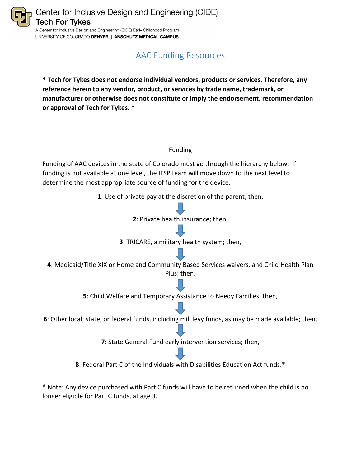

UNIVERSITY OF COLORADO DENVER | ANSCHUTZ MEDICAL CAMPUS

## AAC Funding Resources

**\* Tech for Tykes does not endorse individual vendors, products or services. Therefore, any reference herein to any vendor, product, or services by trade name, trademark, or manufacturer or otherwise does not constitute or imply the endorsement, recommendation or approval of Tech for Tykes.** \*

## Funding

Funding of AAC devices in the state of Colorado must go through the hierarchy below. If funding is not available at one level, the IFSP team will move down to the next level to determine the most appropriate source of funding for the device.

**1**: Use of private pay at the discretion of the parent; then,



\* Note: Any device purchased with Part C funds will have to be returned when the child is no longer eligible for Part C funds, at age 3.